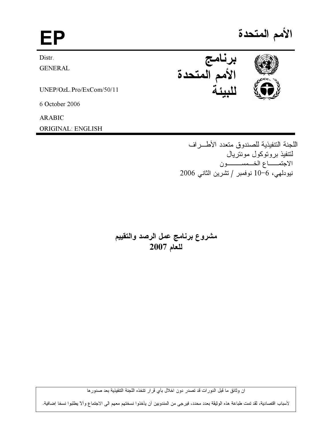EP

Distr.

**GENERAL** 

UNEP/OzL.Pro/ExCom/50/11

6 October 2006

**ARABIC** 

**ORIGINAL: ENGLISH** 

الأمم المتحدة



اللجنة التتفيذية للصندوق متعدد الأطراف لتتفيذ بروتوكول مونتريال الاجتمــاع الخـمســــون نيودلهي، 6−10 نوفمبر / تشرين الثاني 2006

مشروع برنامج عمل الرصد والتقييم للعام 2007

ان وثائق ما قبل الدورات قد تصدر دون اخلال بأي قرار تتخذه اللجنة التنفيذية بعد صدورها

لأسباب اقتصادية، لقد تمت طباعة هذه الوثيقة بعدد محدد، فيرجى من المندوبين أن يأخذوا نسختهم معهم الى الاجتماع وألآ يطلبوا نسخا إضافية.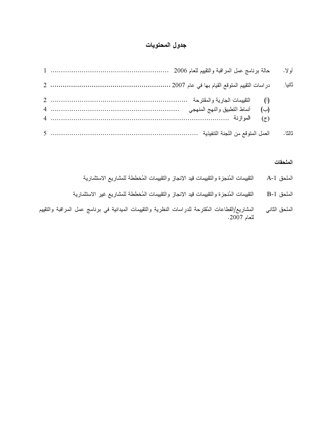# جدول المحتويات

|                                                                                                        | أو لا . |
|--------------------------------------------------------------------------------------------------------|---------|
|                                                                                                        | ثانيا   |
| (ب) أنماط التطبيق والنهج المنهجى مستسمى المستحدث بستسمع المستحدث بن المنهجي المنهجي المستحدث بن المنهج |         |
|                                                                                                        | ثالثا . |

#### الملحقات

- التقييمات المُنجزة والتقييمات قيد الإنجاز والتقييمات المُخططة للمشاريع الاستثمارية الملحق A-1
- التقييمات المُنجزة والتقييمات قيد الإنجاز والتقييمات المُخططة للمشاريع غير الاستثمارية الملحق B-1
- الملحق الثاني المشاريع/القطاعات المُقترحة للدراسات النظرية والتقييمات الميدانية في برنامج عمل المراقبة والتقييم للعام 2007.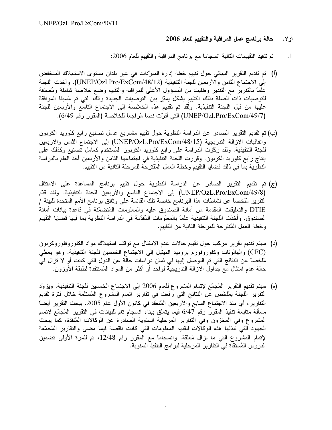#### حالة برنامج عمل المراقبة والتقييم للعام 2006 أولا.

- تم تنفيذ التقييمات النالية انسجاماً مع برنامج المراقبة والتقييم للعام 2006:  $\cdot$ 1
- (أ) تم تقديم التقرير النهائي حول تقييم خطة إدارة المبرّدات في غير بلدان مستوى الاستهلاك المنخفض إلى الاجتماع الثامن والأربعين للجنة التنفيذية (UNEP/Ozl.Pro/ExCom/48/12). وأخذت اللجنة علماً بالنقريرُ مع النقدير وطلبت من المسؤول الأعلى للمراقبة والنقييم وضع خلاصة شاملة ومُصنّفة للتوصيات ذات الصلة بذلك التقييم بشكل يميّز بين التوصيات الجديدة وتلك التي تم مُسبقاً الموافقة عليها من قبل اللجنة التنفيذية. ولقد تم تقديم هذه الخلاصة إلى الاجتماع التاسع والأربعين للجنة (UNEP/Ozl.Pro/ExCom/49/7) التي أقرّت نصاً مُراجعاً للخلاصة (المقرر رقم 6/49).
- (ب) تم تقديم التقرير الصادر عن الدراسة النظرية حول تقييم مشاريع عامل تصنيع رابع كلوريد الكربون واتفاقيات الإزالة التدريجية (UNEP/OzL.Pro/ExCom/48/15) إلى الاجتماع الثامن والأربعين للجنة التنفيذية. ولقد ركَّزت الدراسة على رابع كلوريد الكربون المُستخدم كعامل تصنيع وكذلك على إنتاج رابع كلوريد الكربون. وقررت اللجنة التنفيذية في اجتماعها الثامن والأربعين أخذ العلم بالدراسة النظرية بما في ذلك قضايا التقييم وخطة العمل المُقترحة للمرحلة الثانية من التقييم.
- (ج) تم تقديم التقرير الصادر عن الدراسة النظرية حول تقييم برنامج المساعدة على الامتثال (UNEP/OzL.Pro/ExCom/49/8) إلى الاجتماع التاسع والأربعين للجنة التنفيذية. ولقد قدّم النقرير مُلخصاً عن نشاطات هذا البرنامج خاصة تلك القائمة على وثائق برنامج الأمم المتحدة للبيئة / DTIE والتعليقات المقدمة من أمانة الصندوق عليه والمعلومات المُتضمّنة في قاعدة بيانات أمانة الصندوق. وأخذت اللجنة التنفيذية علمًا بالمعلومات المُقدَّمة في الدراسة النظرية بما فيها قضايا التقييم وخطة العمل المُقترحة للمرحلة الثانية من التقييم.
- (د) سيتم تقديم تقرير مركَّب حول تقييم حالات عدم الامتثال مع توقَّف استهلاك مواد الكلوروفلوروكربون (CFC) والهالونات وكلوروفورم بروميد الميثيل إلى الاجتماع الخمسين للجنة التنفيذية. وهو يعطي مُلخصاً عن النتائج التي تم التوصل إليها في ثمان دراسات حالة عن الدول التي كانت أو لا تزال في حالَّة عدم امتثال مع جداول الإزالة التدريجية لواحد أو أكثر من المواد المُستنفدة لطبقة الأوزون.
- (ه) سيتم تقديم التقرير المُجمَّع لإتمام المشروع للعام 2006 إلى الاجتماع الخمسين للجنة التنفيذية. ويزوِّد النقرير اللجنة بمُلخّص عن النتائج التي رفعت في تقارير إتمام المشروع المُستلمة خلال فترة تقديم النقارير ، أي منذ الاجتماع السابع والأربعين المُنعقد في كانون الأول عام 2005. يبحث النقرير أيضاً مسألة متابعة تنفيذ المقرر رقم 6/47 فيما يتعلق ببناء انسجام تام للبيانات في التقرير المُجمّع لإتمام المشروع وفي المخزون وفي التقارير المرحلية السنوية الصادرة عن الوكالات المُنقذة، كما يبحث الجهود التي تبذلها هذه الوكالات لتقديم المعلومات التي كانت ناقصة فيما مضىى والتقارير المُجمّعة لإتمام المشروع التي ما نزال مُعلقة. وانسجامًا مع المقرر رقم 12/48، تم للمرة الأولى نضمين الدروس المُستقاة في التقارير المرحلية لبرامج التنفيذ السنوية.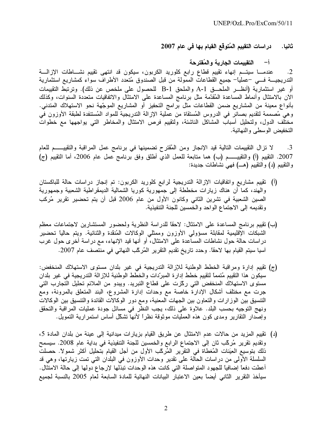در اسات التقييم المُتوقّع القيام بـها فـي عام 2007 ثانيا.

> التقييمات الجارية والمُقترحة  $-1$

عندمـــا سيتـــم إنهاء تقييم قطاع رابـع كلوريد الكربون، سيكون قد انتهى تقييم نشــــاطات الإزالــــة  $\cdot$ .2 التدريجيــــة فــــى –عملياً– جميع القطاعات الممولمة من قبل الصندوق مُتعدد الأطراف سواء كمشاريع استثمارية أو غير استثمارية (أنظــر الملحـــق A-1 والملحق B-1 للحصول على ملخص عن ذلك). وترتبط التقييمات الأن بالامتثال وأنماط المساعدة المُقدَّمة مثل برنامج المساعدة على الامتثال والاتفاقيات متعددة السنوات، وكذلك بأنواع معينة من المشاريع ضمن القطاعات مثل برامج التحفيز أو المشاريع الموجّهة نحو الاستهلاك المتدني. وهي مُصممة لتقديم بصائر في الدروس المُستقاة من عملية الإزالة التدريجية للمواد المُستنفدة لطبقة الأوزون في مختلف الدول، ولتحليل أسباب المشاكل الناشئة، ولتقييم فرص الامتثال والمخاطر التي يواجهها مع خطوات التخفيض الوسطى والنهائية.

لا تزال التقييمات التالية قيد الإنجاز ومن المُقترح تضمينها في برنامج عمل المراقبة والتقييـــــم للعام  $\cdot$ 3 2007. التقييم (أ) والتقييــــــم (ب) هما منابعة للعمل الذي أطلق وفق برنامج عمل عام 2006، أما التقييم (ج) والنقييم (د) والتقييم (هـــ) فهي نشاطات جديدة:

- (أ) تقييم مشاريع واتفاقيات الإزالة التدريجية لرابع كلوريد الكربون: تم إنجاز دراسات حالة للباكستان والهند، كما أن هناك زيارات مخططة إلى جمهورية كوريا الشمالية الديمقراطية الشعبية وجمهورية الصين الشعبية في تشرين الثاني وكانون الأول من عام 2006 قبل أن يتم تحضير تقرير مُركب وتقديمه إلى الاجتماع الواحد والخمسين للجنة التنفيذية.
- (ب) تقييم برنامج المساعدة على الامتثال: لاحقًا للدراسة النظرية ولحضور المستشارين لاجتماعات معظم الشبكات الإقليمية لمقابلة مسؤولي الأوزون وممثلي الوكالات المُنقدة والثنائية. ويتم حاليًا تحضير دراسات حالة حول نشاطات المساعدة على الامتثال، أو أنها قيد الإنهاء، مع دراسة أخرى حول غرب أسيا سيتم القيام بها لاحقًا. وحدد تاريخ تقديم التقرير المُركَّب النهائي في منتصف عام 2007.
- (ج) تقييم إدارة ومراقبة الخطط الوطنية للإزالة التدريجية في غير بلدان مستوى الاستهلاك المنخفض: سيكون هذا التقييم مُتممًا لتقييم خطط إدارة المبرِّدات والخطط الوطنية للإزالة التدريجية في غير بلدان مستوى الاستهلاك المنخفض التي ركّزت على قطاع التبريد. ويبدو من الملائم تحليل التجارب التي جرت مع مختلف أشكال الإدارة خاصة مع وحدات إدارة المشروع، البند المتعلق بالمرونة، ومع التنسيق بين الوزارات والتعاون بين الجهات المعنية، ومع دور الوكالات القائدة والتنسيق بين الوكالات ونهج التوجيه بحسب البلد. علاوة على ذلك، يجب النظر في مسائل جودة عمليات المراقبة والتحقق وإصدار التقارير ومدى كون هذه العمليات موثوقة نظراً لأنها تشكَّل أساس استمرارية التمويل.
- (د) تقييم المزيد من حالات عدم الامتثال عن طريق القيام بزيارات ميدانية إلى عينة من بلدان المادة 5، وتقديم تقرير مُركَّب ثان إلى الاجتماع الرابع والخمسين للجنة التنفيذية في بداية عام 2008. سيسمح ذلك بتوسيع العيِّنات المُغطاة في التقرير المُركَّب الأول من أجل القيام بتحليل أكثر شمولاً. حصلت السلسلة الأولى من دراسات الحالة على نقدير وحدات الأوزون في البلدان التي تمت زيارتها، وهي قد أعطت دفعًا إضافيًا للجهود المتواصلة التي كانت هذه الوحدات تبذلها لإرجاع دولها إلى حالة الامتثال. سيأخذ النقرير الثاني أيضاً بعين الاعتبار البيانات النهائية للمادة السابعة لعام 2005 بالنسبة لجميع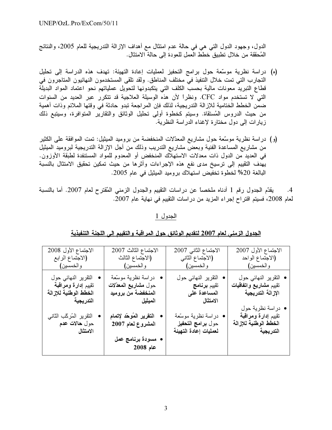الدول، وجهود الدول التبي هي في حالة عدم امتثال مع أهداف الإزالة التدريجية للعام 2005، والنتائج المُحققة من خلال تطبيق خطط العمل للعودة إلى حالة الامتثال.

- (ه) دراسة نظرية موسَّعة حول برامج التحفيز لعمليات إعادة التهيئة: تهدف هذه الدراسة إلى تحليل التجارب التي تمت خلال التنفيذ في مختلف المناطق. ولقد تلقى المستخدمون النهائيون المتاجرون في قطاع التبريد معونات مالية بحسب الكلف التي يتكبدونها لتحويل عملياتهم نحو اعتماد المواد البديلة التي لا تستخدم مواد CFC. ونظراً لأن هذه الوسيلة العلاجية قد تتكرر عبر العديد من السنوات ضمن الخطط الختامية للإزالة التدريجية، لذلك فإن المراجعة تبدو حادثة في وقتها الملائم وذات أهمية من حيث الدروس المُستقاة. وسيتم كخطوة أولى تحليل الوثائق والتقارير المتوافرة، وسيتبع ذلك زيارات إلى دول مختارة لإغناء الدراسة النظرية.
- (و) در اسة نظرية موسّعة حول مشاريع المعدّلات المنخفضة من بروميد الميثيل: تمت الموافقة على الكثير من مشاريع المساعدة الفنية وبعضٌّ مشاريع الندريب وذلك من أجل الإزالة الندريجية لبروميد الميثيل في العديد من الدول ذات معدلات الاستهلاك المنخفض أو المعدوم للمواد المستنفدة لطبقة الأوزون. يهدف التقييم إلى ترسيخ مدى نفع هذه الإجراءات وأثرها من حيث تمكين تحقيق الامتثال بالنسبة البالغة 20% لخطوة تخفيض استهلاك بروميد الميثيل في عام 2005.

يقدَّم الْجدول رقم 1 أدناه ملخصاً عن دراسات النقييم والجدول الزمنبي الْمُقترح لعام 2007. أما بالنسبة  $.4$ لعام 2008، فسيتم اقتراح إجراء المزيد من دراسات التقييم في نهاية عام 2007.

# الجدول 1

| الاجتماع الأول 2008                                                              | الاجتماع الثالث 2007                                                          | الاجتماع الثاني 2007                                                             | الاجتماع الأول 2007                                                            |
|----------------------------------------------------------------------------------|-------------------------------------------------------------------------------|----------------------------------------------------------------------------------|--------------------------------------------------------------------------------|
| (الاجتماع الرابع                                                                 | (الاجتماع الثالث                                                              | (الاجتماع الثاني                                                                 | (الاجتماع الواحد                                                               |
| والخمسين)                                                                        | والخمسين)                                                                     | والخمسين)                                                                        | والخمسين)                                                                      |
| التقرير النهائي حول<br>نقييم إدارة ومراقبة<br>الخطط الوطنية للإزالة<br>التدريجية | • دراسة نظرية موسّعة<br>حول مشاريع المعدّلات<br>المنخفضة من بروميد<br>الميثيل | التقرير النهائي حول<br>تقييم برنامج<br>المساعدة على<br>الامتثال                  | • التقرير النهائ <i>ي</i> حول<br>تقييم مشاريع واتفاقيات<br>الإزالة التدريجية   |
| التقرير المُركّب الثاني<br>حول <b>هالات عدم</b><br>الامتثال                      | التقرير المُوحّد لإتمام<br>المشروع لعام 2007                                  | دراسة نظرية موسّعة<br>حول <b>بر</b> امج الت <b>حفيز</b><br>لعمليات إعادة التهيئة | • دراسة نظرية حول<br>تقييم إدارة ومراقبة<br>الخطط الوطنية للإزالة<br>التدريجية |
|                                                                                  | • مسودة برنامج عمل<br>$2008$ عام                                              |                                                                                  |                                                                                |

## الجدول الزمني لعام 2007 لتقديم الوثائق حول المراقبة والتقييم إلى اللجنة التنفيذية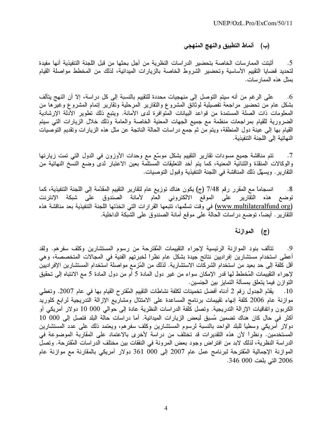### (ب) أنماط التطبيق والنهج المنهجي

أثبتت الممارسات الخاصة بتحضير الدراسات النظرية من أجل بحثها من قبل اللجنة التنفيذية أنها مفيدة .5 لتحديد قضايا التقييم الأساسية وتحضير الشروط الخاصة بالزيارات الميدانية، لذلك من المخطط مواصلة القيام بمثل هذه الممار سات.

على الرغم من أنه سيتم التوصل إلى منهجيات محددة للتقييم بالنسبة إلى كل دراسة، إلا أن النهج يتألف .6 بشكل عام من تحضير مراجعة تفصيلية لوثائق المشروع والتقارير المرحلية وتقارير إتمام المشروع وغيرها من المعلومات ذات الصلة المستمدة من قواعد البيانات المتوافرة لدى الأمانة. ويتبع ذلك تطوير الأدلة الإرشادية الضرورية للقيام بمراجعات منظمة مع جميع الجهات المعنية الخاصة والعامة وذلك خلال الزيارات التبي سيتع القيام بها إلى عينة دول المنطقة، ويتم من ثم جمع در اسات الحالة الناتجة عن مثل هذه الزيارات وتقديم التوصيات النهائية إلى اللجنة التنفيذية.

تتم مناقشة جميع مسودات تقارير التقييم بشكل موسّع مع وحدات الأوزون في الدول التي تمت زيارتها  $\cdot$ .7 والوكالات المنقذة والثنائية المعنية، كما يتم أخد التعليقات المستلمة بعين الاعتبار لدى وضع النسخ النهائية من النقارير . ويسهِّل ذلك المناقشة في اللَّجنة التَّنفيذية وقبول التَّوصيات.

انسجامًا مع المقرر رقم 7/48 (ج) يكون هناك توزيع عام لتقارير التقييم المقدّمة إلى اللجنة التنفيذية، كما  $.8$ توضع هذه التقارير على الموقع الالكتروني العام لأمانة الصندوق على شبكة الإنترنت (www.multilateralfund.org) في وقت تسلّمها، تتبعها القرارات التي اتخذتها اللجنة التتفيذية بعد مناقشة هذه النقارير . أيضاً، توضع در اسات الحالة على موقع أمانة الصندوق على الشبكة الداخلية.

#### (ج) الموازنة

تتألف بنود الموازنة الرئيسية لإجراء التقييمات المُقترحة من رسوم المستشارين وكلف سفرهم. ولقد .9 أعطي استخدام مستشارين إفراديين نتائج جيدة بشكل عام نظراً لخبرتهم الفنية في المجالات المتخصصة، وهي أقل كلفة إلى حد بعيد من استخدام الشركات الاستشارية. لذلك من المُزمع مواصلة استخدام المستشارين الإفراديين لإجراء التقييمات المُخطط لها قدر الإمكان سواء من غير دول المادة 5 أم من دول المادة 5 مع الانتباه إلى تحقيق التوازن فيما يتعلق بمسالة التمايز بين الجنسين.

10 . يقدّم الجدول رقم 2 أدناه أفضل تخمينات لكلفة نشاطات التقييم المُقترح القيام بها في عام 2007. وتغطي موازنة عام 2006 كلفة إنهاء تقييمات برنامج المساعدة على الامتثال ومشاريع الإزالة التدريجية لرابع كلوريد الكربون واتفاقيات الإزالة التدريجية. وتصل كلفة الدراسات النظرية عادة إلى حوالى 000 10 دولار أمريكي أو أكثر في حال كان هناك تضمين مُسبق لبعض الزيارات الميدانية. أما دراسات حالة البلد فتصل إلى 000 10 دولار أمريكي وسطيا للبلد الواحد بالنسبة لرسوم المستشارين وكلف سفرهم، ويعتمد ذلك على عدد المستشارين المستخدمين. ونظراً لأن هذه التقديرات قد تختلف من دراسة لأخرى بالاعتماد على المقاربة الموضوعة في الدراسة النظرية، لذلك لابد من افتراض وجود بعض المرونة في النفقات بين مختلف الدراسات المُقترحة. وتصل المُوازِنة الإجمالية المُقترِّحة لبرنامج عمل عام 2007 إلى 000 361 دولار أمريكي بالمقارنة مع موازِنة عام 2006 التي بلغت 000 346.